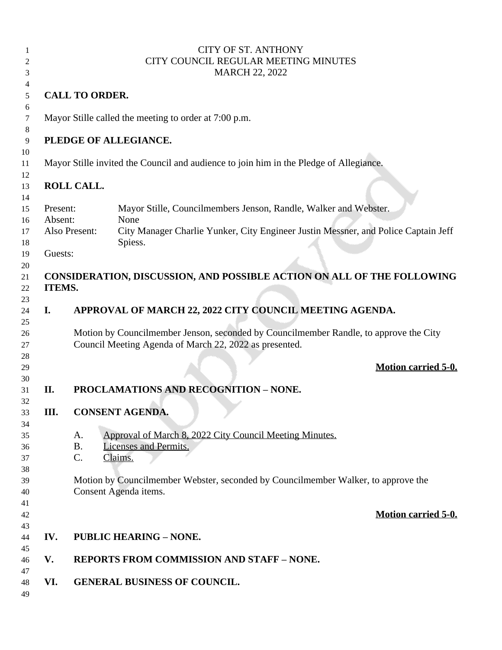|    |          | <b>CITY OF ST. ANTHONY</b>                                                                          |
|----|----------|-----------------------------------------------------------------------------------------------------|
| 2  |          | CITY COUNCIL REGULAR MEETING MINUTES                                                                |
| 3  |          | <b>MARCH 22, 2022</b>                                                                               |
| 4  |          |                                                                                                     |
| 5  |          | <b>CALL TO ORDER.</b>                                                                               |
|    |          |                                                                                                     |
| 6  |          |                                                                                                     |
| 7  |          | Mayor Stille called the meeting to order at 7:00 p.m.                                               |
| 8  |          |                                                                                                     |
| 9  |          | PLEDGE OF ALLEGIANCE.                                                                               |
| 10 |          |                                                                                                     |
| 11 |          | Mayor Stille invited the Council and audience to join him in the Pledge of Allegiance.              |
| 12 |          |                                                                                                     |
| 13 |          | <b>ROLL CALL.</b>                                                                                   |
| 14 |          |                                                                                                     |
| 15 | Present: | Mayor Stille, Councilmembers Jenson, Randle, Walker and Webster.                                    |
| 16 | Absent:  | None                                                                                                |
| 17 |          | City Manager Charlie Yunker, City Engineer Justin Messner, and Police Captain Jeff<br>Also Present: |
| 18 |          | Spiess.                                                                                             |
|    | Guests:  |                                                                                                     |
| 19 |          |                                                                                                     |
| 20 |          |                                                                                                     |
| 21 |          | CONSIDERATION, DISCUSSION, AND POSSIBLE ACTION ON ALL OF THE FOLLOWING                              |
| 22 | ITEMS.   |                                                                                                     |
| 23 |          |                                                                                                     |
| 24 | I.       | APPROVAL OF MARCH 22, 2022 CITY COUNCIL MEETING AGENDA.                                             |
| 25 |          |                                                                                                     |
| 26 |          | Motion by Councilmember Jenson, seconded by Councilmember Randle, to approve the City               |
| 27 |          | Council Meeting Agenda of March 22, 2022 as presented.                                              |
| 28 |          |                                                                                                     |
| 29 |          | <b>Motion carried 5-0.</b>                                                                          |
| 30 |          |                                                                                                     |
| 31 | II.      | <b>PROCLAMATIONS AND RECOGNITION - NONE.</b>                                                        |
| 32 |          |                                                                                                     |
| 33 | Ш.       | <b>CONSENT AGENDA.</b>                                                                              |
|    |          |                                                                                                     |
| 34 |          |                                                                                                     |
| 35 |          | Approval of March 8, 2022 City Council Meeting Minutes.<br>A.                                       |
| 36 |          | <b>B.</b><br><b>Licenses and Permits.</b>                                                           |
| 37 |          | C.<br>Claims.                                                                                       |
| 38 |          |                                                                                                     |
| 39 |          | Motion by Councilmember Webster, seconded by Councilmember Walker, to approve the                   |
| 40 |          | Consent Agenda items.                                                                               |
| 41 |          |                                                                                                     |
| 42 |          | <b>Motion carried 5-0.</b>                                                                          |
| 43 |          |                                                                                                     |
| 44 | IV.      | <b>PUBLIC HEARING - NONE.</b>                                                                       |
| 45 |          |                                                                                                     |
| 46 | V.       | <b>REPORTS FROM COMMISSION AND STAFF - NONE.</b>                                                    |
| 47 |          |                                                                                                     |
| 48 | VI.      | <b>GENERAL BUSINESS OF COUNCIL.</b>                                                                 |
| 49 |          |                                                                                                     |
|    |          |                                                                                                     |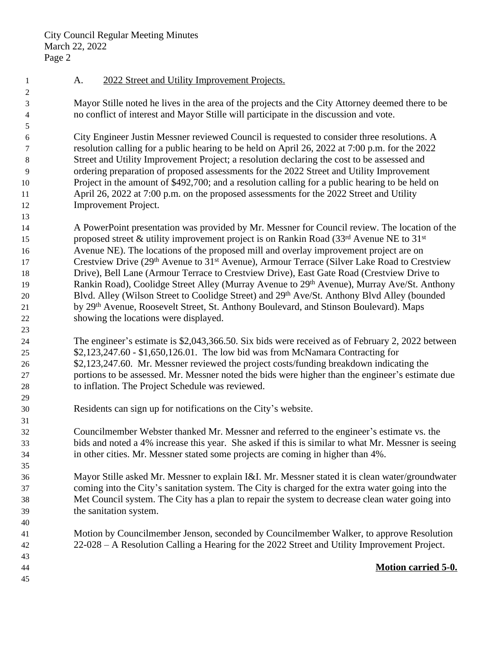City Council Regular Meeting Minutes March 22, 2022 Page 2

- 1 A. 2022 Street and Utility Improvement Projects.
- Mayor Stille noted he lives in the area of the projects and the City Attorney deemed there to be no conflict of interest and Mayor Stille will participate in the discussion and vote.

 City Engineer Justin Messner reviewed Council is requested to consider three resolutions. A resolution calling for a public hearing to be held on April 26, 2022 at 7:00 p.m. for the 2022 Street and Utility Improvement Project; a resolution declaring the cost to be assessed and ordering preparation of proposed assessments for the 2022 Street and Utility Improvement Project in the amount of \$492,700; and a resolution calling for a public hearing to be held on April 26, 2022 at 7:00 p.m. on the proposed assessments for the 2022 Street and Utility Improvement Project.

- A PowerPoint presentation was provided by Mr. Messner for Council review. The location of the 15 proposed street & utility improvement project is on Rankin Road  $(33<sup>rd</sup>$  Avenue NE to  $31<sup>st</sup>$  Avenue NE). The locations of the proposed mill and overlay improvement project are on 17 Crestview Drive (29<sup>th</sup> Avenue to 31<sup>st</sup> Avenue), Armour Terrace (Silver Lake Road to Crestview Drive), Bell Lane (Armour Terrace to Crestview Drive), East Gate Road (Crestview Drive to 19 Rankin Road), Coolidge Street Alley (Murray Avenue to 29<sup>th</sup> Avenue), Murray Ave/St. Anthony 20 Blvd. Alley (Wilson Street to Coolidge Street) and 29<sup>th</sup> Ave/St. Anthony Blvd Alley (bounded by 29th Avenue, Roosevelt Street, St. Anthony Boulevard, and Stinson Boulevard). Maps showing the locations were displayed.
- The engineer's estimate is \$2,043,366.50. Six bids were received as of February 2, 2022 between \$2,123,247.60 - \$1,650,126.01. The low bid was from McNamara Contracting for \$2,123,247.60. Mr. Messner reviewed the project costs/funding breakdown indicating the portions to be assessed. Mr. Messner noted the bids were higher than the engineer's estimate due to inflation. The Project Schedule was reviewed.
- Residents can sign up for notifications on the City's website.
- Councilmember Webster thanked Mr. Messner and referred to the engineer's estimate vs. the bids and noted a 4% increase this year. She asked if this is similar to what Mr. Messner is seeing in other cities. Mr. Messner stated some projects are coming in higher than 4%.
- Mayor Stille asked Mr. Messner to explain I&I. Mr. Messner stated it is clean water/groundwater coming into the City's sanitation system. The City is charged for the extra water going into the Met Council system. The City has a plan to repair the system to decrease clean water going into the sanitation system.
- Motion by Councilmember Jenson, seconded by Councilmember Walker, to approve Resolution 22-028 – A Resolution Calling a Hearing for the 2022 Street and Utility Improvement Project.
- 

- 
- 

## **Motion carried 5-0.**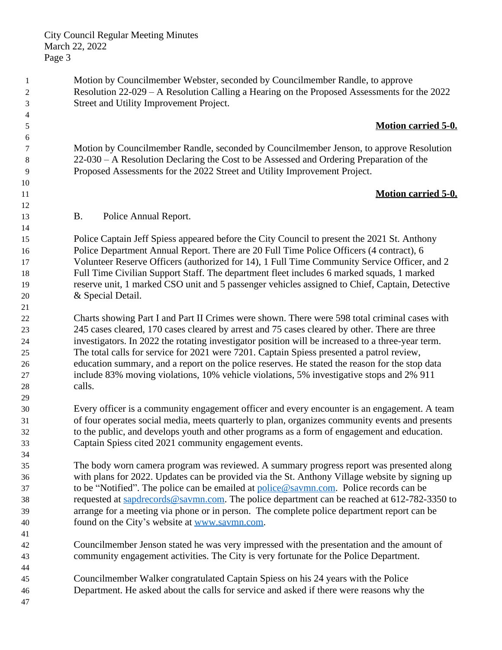City Council Regular Meeting Minutes March 22, 2022 Page 3

 Motion by Councilmember Webster, seconded by Councilmember Randle, to approve Resolution 22-029 – A Resolution Calling a Hearing on the Proposed Assessments for the 2022 Street and Utility Improvement Project.

## **Motion carried 5-0.**

 Motion by Councilmember Randle, seconded by Councilmember Jenson, to approve Resolution 22-030 – A Resolution Declaring the Cost to be Assessed and Ordering Preparation of the Proposed Assessments for the 2022 Street and Utility Improvement Project.

## **Motion carried 5-0.**

B. Police Annual Report.

 Police Captain Jeff Spiess appeared before the City Council to present the 2021 St. Anthony Police Department Annual Report. There are 20 Full Time Police Officers (4 contract), 6 Volunteer Reserve Officers (authorized for 14), 1 Full Time Community Service Officer, and 2 Full Time Civilian Support Staff. The department fleet includes 6 marked squads, 1 marked reserve unit, 1 marked CSO unit and 5 passenger vehicles assigned to Chief, Captain, Detective & Special Detail.

 Charts showing Part I and Part II Crimes were shown. There were 598 total criminal cases with 245 cases cleared, 170 cases cleared by arrest and 75 cases cleared by other. There are three investigators. In 2022 the rotating investigator position will be increased to a three-year term. The total calls for service for 2021 were 7201. Captain Spiess presented a patrol review, education summary, and a report on the police reserves. He stated the reason for the stop data include 83% moving violations, 10% vehicle violations, 5% investigative stops and 2% 911 calls.

 Every officer is a community engagement officer and every encounter is an engagement. A team of four operates social media, meets quarterly to plan, organizes community events and presents to the public, and develops youth and other programs as a form of engagement and education. Captain Spiess cited 2021 community engagement events.

 The body worn camera program was reviewed. A summary progress report was presented along with plans for 2022. Updates can be provided via the St. Anthony Village website by signing up to be "Notified". The police can be emailed at [police@savmn.com](mailto:police@savmn.com). Police records can be requested at [sapdrecords@savmn.com.](mailto:sapdrecords@savmn.com) The police department can be reached at 612-782-3350 to arrange for a meeting via phone or in person. The complete police department report can be found on the City's website at [www.savmn.com](http://www.savmn.com).

- Councilmember Jenson stated he was very impressed with the presentation and the amount of community engagement activities. The City is very fortunate for the Police Department.
- Councilmember Walker congratulated Captain Spiess on his 24 years with the Police Department. He asked about the calls for service and asked if there were reasons why the
-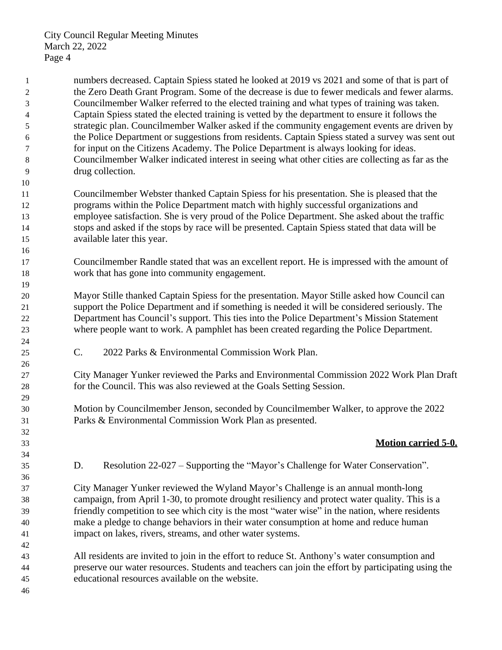numbers decreased. Captain Spiess stated he looked at 2019 vs 2021 and some of that is part of the Zero Death Grant Program. Some of the decrease is due to fewer medicals and fewer alarms. Councilmember Walker referred to the elected training and what types of training was taken. Captain Spiess stated the elected training is vetted by the department to ensure it follows the strategic plan. Councilmember Walker asked if the community engagement events are driven by the Police Department or suggestions from residents. Captain Spiess stated a survey was sent out for input on the Citizens Academy. The Police Department is always looking for ideas. Councilmember Walker indicated interest in seeing what other cities are collecting as far as the drug collection. 

 Councilmember Webster thanked Captain Spiess for his presentation. She is pleased that the programs within the Police Department match with highly successful organizations and employee satisfaction. She is very proud of the Police Department. She asked about the traffic stops and asked if the stops by race will be presented. Captain Spiess stated that data will be available later this year.

 Councilmember Randle stated that was an excellent report. He is impressed with the amount of work that has gone into community engagement.

 Mayor Stille thanked Captain Spiess for the presentation. Mayor Stille asked how Council can support the Police Department and if something is needed it will be considered seriously. The Department has Council's support. This ties into the Police Department's Mission Statement where people want to work. A pamphlet has been created regarding the Police Department.

C. 2022 Parks & Environmental Commission Work Plan.

 City Manager Yunker reviewed the Parks and Environmental Commission 2022 Work Plan Draft for the Council. This was also reviewed at the Goals Setting Session.

 Motion by Councilmember Jenson, seconded by Councilmember Walker, to approve the 2022 Parks & Environmental Commission Work Plan as presented.

## **Motion carried 5-0.**

D. Resolution 22-027 – Supporting the "Mayor's Challenge for Water Conservation".

 City Manager Yunker reviewed the Wyland Mayor's Challenge is an annual month-long campaign, from April 1-30, to promote drought resiliency and protect water quality. This is a friendly competition to see which city is the most "water wise" in the nation, where residents make a pledge to change behaviors in their water consumption at home and reduce human impact on lakes, rivers, streams, and other water systems.

 All residents are invited to join in the effort to reduce St. Anthony's water consumption and preserve our water resources. Students and teachers can join the effort by participating using the educational resources available on the website.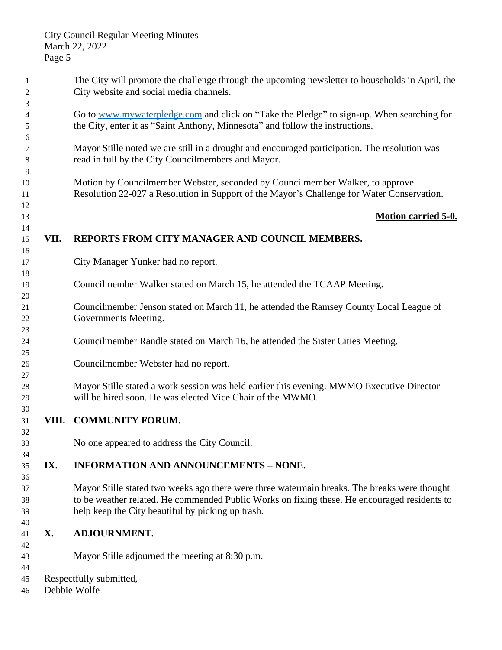| 1<br>$\overline{c}$  |           | The City will promote the challenge through the upcoming newsletter to households in April, the<br>City website and social media channels.                                                                                                        |
|----------------------|-----------|---------------------------------------------------------------------------------------------------------------------------------------------------------------------------------------------------------------------------------------------------|
| 3<br>4<br>5          |           | Go to www.mywaterpledge.com and click on "Take the Pledge" to sign-up. When searching for<br>the City, enter it as "Saint Anthony, Minnesota" and follow the instructions.                                                                        |
| 6<br>7<br>8          |           | Mayor Stille noted we are still in a drought and encouraged participation. The resolution was<br>read in full by the City Councilmembers and Mayor.                                                                                               |
| 9<br>10<br>11        |           | Motion by Councilmember Webster, seconded by Councilmember Walker, to approve<br>Resolution 22-027 a Resolution in Support of the Mayor's Challenge for Water Conservation.                                                                       |
| 12<br>13             |           | <b>Motion carried 5-0.</b>                                                                                                                                                                                                                        |
| 14<br>15<br>16       | VII.      | REPORTS FROM CITY MANAGER AND COUNCIL MEMBERS.                                                                                                                                                                                                    |
| 17<br>18             |           | City Manager Yunker had no report.                                                                                                                                                                                                                |
| 19<br>20             |           | Councilmember Walker stated on March 15, he attended the TCAAP Meeting.                                                                                                                                                                           |
| 21<br>22             |           | Councilmember Jenson stated on March 11, he attended the Ramsey County Local League of<br>Governments Meeting.                                                                                                                                    |
| 23<br>24<br>25       |           | Councilmember Randle stated on March 16, he attended the Sister Cities Meeting.                                                                                                                                                                   |
| 26<br>27             |           | Councilmember Webster had no report.                                                                                                                                                                                                              |
| 28<br>29             |           | Mayor Stille stated a work session was held earlier this evening. MWMO Executive Director<br>will be hired soon. He was elected Vice Chair of the MWMO.                                                                                           |
| 30<br>31<br>32       |           | VIII. COMMUNITY FORUM.                                                                                                                                                                                                                            |
| 33<br>34             |           | No one appeared to address the City Council.                                                                                                                                                                                                      |
| 35<br>36             | IX.       | <b>INFORMATION AND ANNOUNCEMENTS - NONE.</b>                                                                                                                                                                                                      |
| 37<br>38<br>39<br>40 |           | Mayor Stille stated two weeks ago there were three watermain breaks. The breaks were thought<br>to be weather related. He commended Public Works on fixing these. He encouraged residents to<br>help keep the City beautiful by picking up trash. |
| 41<br>42             | <b>X.</b> | <b>ADJOURNMENT.</b>                                                                                                                                                                                                                               |
| 43<br>44             |           | Mayor Stille adjourned the meeting at 8:30 p.m.                                                                                                                                                                                                   |
| 45                   |           | Respectfully submitted,                                                                                                                                                                                                                           |
| 46                   |           | Debbie Wolfe                                                                                                                                                                                                                                      |